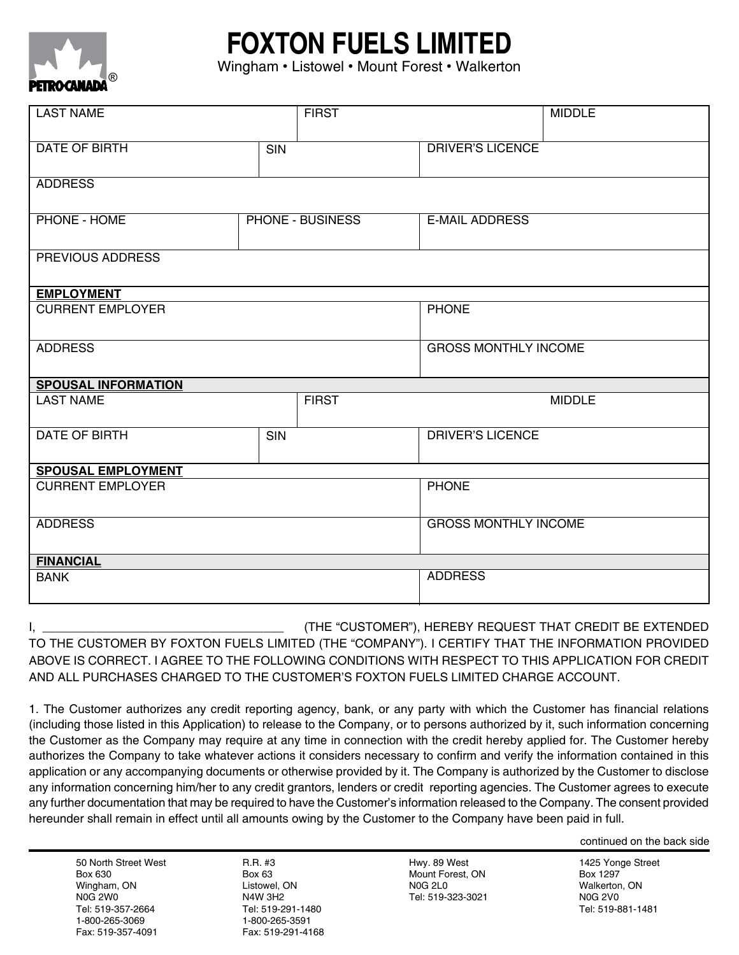



Wingham • Listowel • Mount Forest • Walkerton

| <b>LAST NAME</b>                 | <b>FIRST</b>            |  |                             | <b>MIDDLE</b> |
|----------------------------------|-------------------------|--|-----------------------------|---------------|
|                                  |                         |  |                             |               |
| <b>DATE OF BIRTH</b>             | <b>SIN</b>              |  | <b>DRIVER'S LICENCE</b>     |               |
|                                  |                         |  |                             |               |
| <b>ADDRESS</b>                   |                         |  |                             |               |
| <b>PHONE - HOME</b>              | <b>PHONE - BUSINESS</b> |  | <b>E-MAIL ADDRESS</b>       |               |
|                                  |                         |  |                             |               |
| PREVIOUS ADDRESS                 |                         |  |                             |               |
|                                  |                         |  |                             |               |
| <b>EMPLOYMENT</b>                |                         |  |                             |               |
| <b>CURRENT EMPLOYER</b>          |                         |  | <b>PHONE</b>                |               |
|                                  |                         |  |                             |               |
| <b>ADDRESS</b>                   |                         |  | <b>GROSS MONTHLY INCOME</b> |               |
|                                  |                         |  |                             |               |
| <b>SPOUSAL INFORMATION</b>       |                         |  |                             |               |
| <b>LAST NAME</b><br><b>FIRST</b> |                         |  | <b>MIDDLE</b>               |               |
|                                  |                         |  |                             |               |
| DATE OF BIRTH                    | <b>SIN</b>              |  | <b>DRIVER'S LICENCE</b>     |               |
|                                  |                         |  |                             |               |
| <b>SPOUSAL EMPLOYMENT</b>        |                         |  |                             |               |
| <b>CURRENT EMPLOYER</b>          |                         |  | <b>PHONE</b>                |               |
|                                  |                         |  |                             |               |
| <b>ADDRESS</b>                   |                         |  | <b>GROSS MONTHLY INCOME</b> |               |
|                                  |                         |  |                             |               |
| <b>FINANCIAL</b>                 |                         |  |                             |               |
| <b>BANK</b>                      |                         |  | <b>ADDRESS</b>              |               |
|                                  |                         |  |                             |               |

I, \_\_\_\_\_\_\_\_\_\_\_\_\_\_\_\_\_\_\_\_\_\_\_\_\_\_\_\_\_\_\_\_\_\_\_\_ (THE "CUSTOMER"), HEREBY REQUEST THAT CREDIT BE EXTENDED TO THE CUSTOMER BY FOXTON FUELS LIMITED (THE "COMPANY"). I CERTIFY THAT THE INFORMATION PROVIDED ABOVE IS CORRECT. I AGREE TO THE FOLLOWING CONDITIONS WITH RESPECT TO THIS APPLICATION FOR CREDIT AND ALL PURCHASES CHARGED TO THE CUSTOMER'S FOXTON FUELS LIMITED CHARGE ACCOUNT.

1. The Customer authorizes any credit reporting agency, bank, or any party with which the Customer has financial relations (including those listed in this Application) to release to the Company, or to persons authorized by it, such information concerning the Customer as the Company may require at any time in connection with the credit hereby applied for. The Customer hereby authorizes the Company to take whatever actions it considers necessary to confirm and verify the information contained in this application or any accompanying documents or otherwise provided by it. The Company is authorized by the Customer to disclose any information concerning him/her to any credit grantors, lenders or credit reporting agencies. The Customer agrees to execute any further documentation that may be required to have the Customer's information released to the Company. The consent provided hereunder shall remain in effect until all amounts owing by the Customer to the Company have been paid in full.

continued on the back side

50 North Street West Box 630 Wingham, ON N0G 2W0 Tel: 519-357-2664 1-800-265-3069 Fax: 519-357-4091

R.R. #3 Box 63 Listowel, ON N4W 3H2 Tel: 519-291-1480 1-800-265-3591 Fax: 519-291-4168

Hwy. 89 West Mount Forest, ON N0G 2L0 Tel: 519-323-3021

1425 Yonge Street Box 1297 Walkerton, ON N0G 2V0 Tel: 519-881-1481